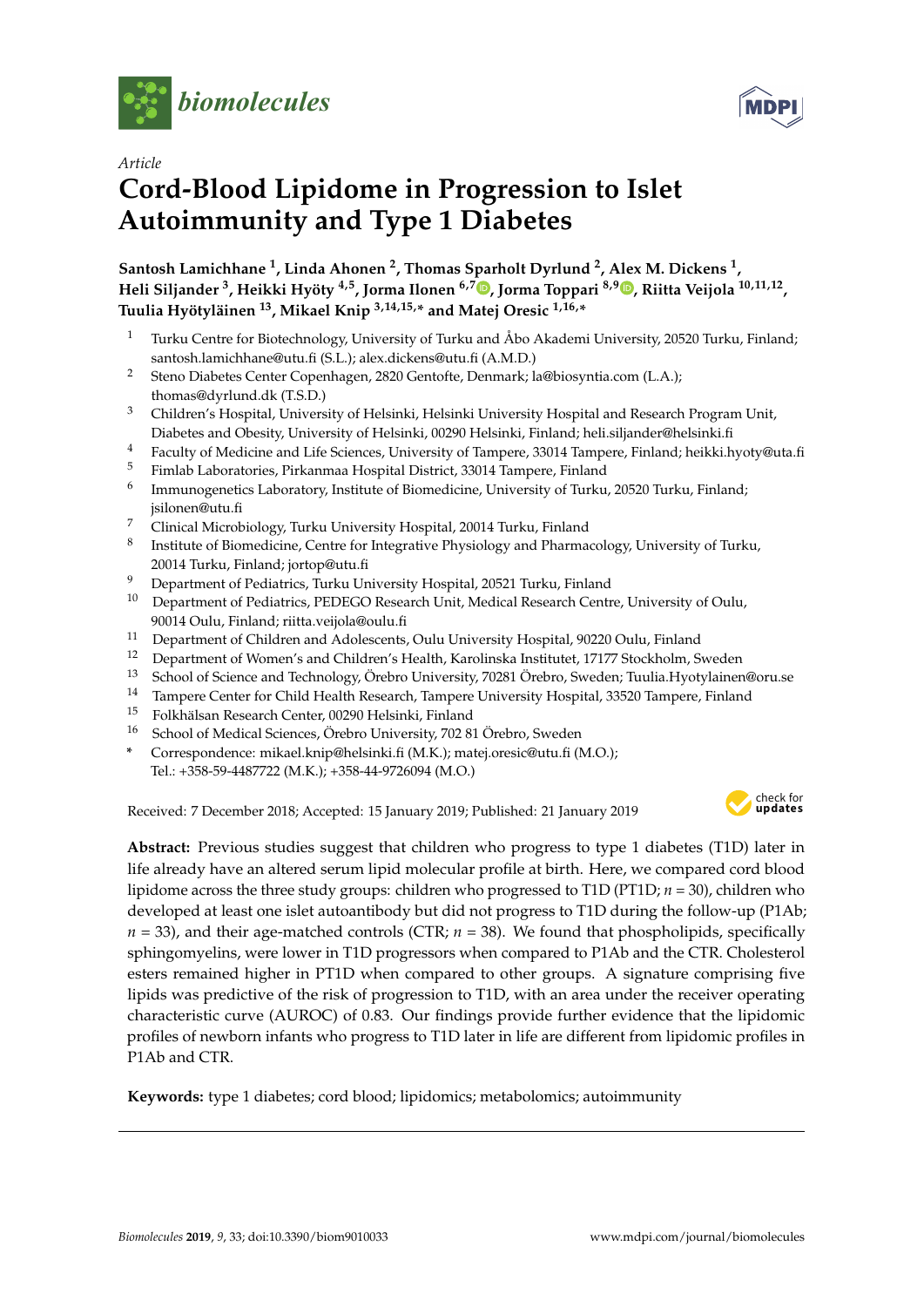



# *Article* **Cord-Blood Lipidome in Progression to Islet Autoimmunity and Type 1 Diabetes**

**Santosh Lamichhane <sup>1</sup> , Linda Ahonen <sup>2</sup> , Thomas Sparholt Dyrlund <sup>2</sup> , Alex M. Dickens <sup>1</sup> , Heli Siljander <sup>3</sup> , Heikki Hyöty 4,5, Jorma Ilonen 6,7 [,](https://orcid.org/0000-0002-9973-2062) Jorma Toppari 8,9 [,](https://orcid.org/0000-0003-2228-334X) Riitta Veijola 10,11,12 , Tuulia Hyötyläinen <sup>13</sup>, Mikael Knip 3,14,15,\* and Matej Oresic 1,16,\***

- <sup>1</sup> Turku Centre for Biotechnology, University of Turku and Åbo Akademi University, 20520 Turku, Finland; santosh.lamichhane@utu.fi (S.L.); alex.dickens@utu.fi (A.M.D.)
- <sup>2</sup> Steno Diabetes Center Copenhagen, 2820 Gentofte, Denmark; la@biosyntia.com (L.A.); thomas@dyrlund.dk (T.S.D.)
- <sup>3</sup> Children's Hospital, University of Helsinki, Helsinki University Hospital and Research Program Unit, Diabetes and Obesity, University of Helsinki, 00290 Helsinki, Finland; heli.siljander@helsinki.fi
- <sup>4</sup> Faculty of Medicine and Life Sciences, University of Tampere, 33014 Tampere, Finland; heikki.hyoty@uta.fi<br><sup>5</sup> Finland, lebes testis Dislocation Displaced District, 22014 Tampere, Finland
- <sup>5</sup> Fimlab Laboratories, Pirkanmaa Hospital District, 33014 Tampere, Finland
- 6 Immunogenetics Laboratory, Institute of Biomedicine, University of Turku, 20520 Turku, Finland; jsilonen@utu.fi
- <sup>7</sup> Clinical Microbiology, Turku University Hospital, 20014 Turku, Finland
- 8 Institute of Biomedicine, Centre for Integrative Physiology and Pharmacology, University of Turku, 20014 Turku, Finland; jortop@utu.fi
- <sup>9</sup> Department of Pediatrics, Turku University Hospital, 20521 Turku, Finland
- <sup>10</sup> Department of Pediatrics, PEDEGO Research Unit, Medical Research Centre, University of Oulu, 90014 Oulu, Finland; riitta.veijola@oulu.fi
- <sup>11</sup> Department of Children and Adolescents, Oulu University Hospital, 90220 Oulu, Finland<br><sup>12</sup> Department of Women's and Children's Health, Karolinska Institutet, 17177 Stockholm, S
- <sup>12</sup> Department of Women's and Children's Health, Karolinska Institutet, 17177 Stockholm, Sweden
- <sup>13</sup> School of Science and Technology, Örebro University, 70281 Örebro, Sweden; Tuulia.Hyotylainen@oru.se
- <sup>14</sup> Tampere Center for Child Health Research, Tampere University Hospital, 33520 Tampere, Finland
- <sup>15</sup> Folkhälsan Research Center, 00290 Helsinki, Finland
- <sup>16</sup> School of Medical Sciences, Örebro University, 702 81 Örebro, Sweden
- **\*** Correspondence: mikael.knip@helsinki.fi (M.K.); matej.oresic@utu.fi (M.O.);

Tel.: +358-59-4487722 (M.K.); +358-44-9726094 (M.O.)

Received: 7 December 2018; Accepted: 15 January 2019; Published: 21 January 2019



**Abstract:** Previous studies suggest that children who progress to type 1 diabetes (T1D) later in life already have an altered serum lipid molecular profile at birth. Here, we compared cord blood lipidome across the three study groups: children who progressed to T1D (PT1D; *n* = 30), children who developed at least one islet autoantibody but did not progress to T1D during the follow-up (P1Ab;  $n = 33$ ), and their age-matched controls (CTR;  $n = 38$ ). We found that phospholipids, specifically sphingomyelins, were lower in T1D progressors when compared to P1Ab and the CTR. Cholesterol esters remained higher in PT1D when compared to other groups. A signature comprising five lipids was predictive of the risk of progression to T1D, with an area under the receiver operating characteristic curve (AUROC) of 0.83. Our findings provide further evidence that the lipidomic profiles of newborn infants who progress to T1D later in life are different from lipidomic profiles in P1Ab and CTR.

**Keywords:** type 1 diabetes; cord blood; lipidomics; metabolomics; autoimmunity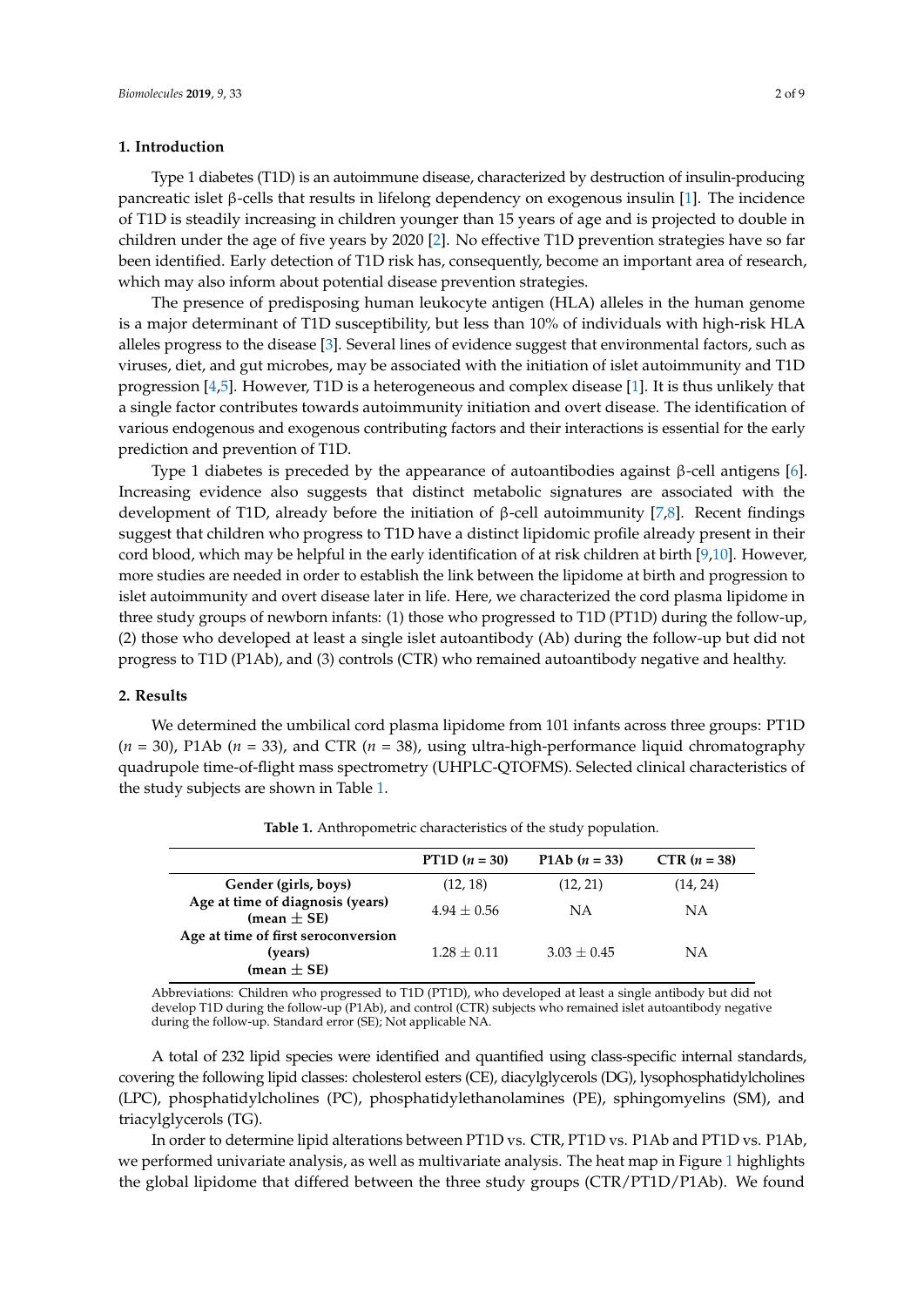## **1. Introduction**

Type 1 diabetes (T1D) is an autoimmune disease, characterized by destruction of insulin-producing pancreatic islet β-cells that results in lifelong dependency on exogenous insulin [\[1\]](#page-7-0). The incidence of T1D is steadily increasing in children younger than 15 years of age and is projected to double in children under the age of five years by 2020 [\[2\]](#page-7-1). No effective T1D prevention strategies have so far been identified. Early detection of T1D risk has, consequently, become an important area of research, which may also inform about potential disease prevention strategies.

The presence of predisposing human leukocyte antigen (HLA) alleles in the human genome is a major determinant of T1D susceptibility, but less than 10% of individuals with high-risk HLA alleles progress to the disease [\[3\]](#page-7-2). Several lines of evidence suggest that environmental factors, such as viruses, diet, and gut microbes, may be associated with the initiation of islet autoimmunity and T1D progression [\[4,](#page-7-3)[5\]](#page-7-4). However, T1D is a heterogeneous and complex disease [\[1\]](#page-7-0). It is thus unlikely that a single factor contributes towards autoimmunity initiation and overt disease. The identification of various endogenous and exogenous contributing factors and their interactions is essential for the early prediction and prevention of T1D.

Type 1 diabetes is preceded by the appearance of autoantibodies against β-cell antigens [\[6\]](#page-7-5). Increasing evidence also suggests that distinct metabolic signatures are associated with the development of T1D, already before the initiation of β-cell autoimmunity [\[7,](#page-7-6)[8\]](#page-7-7). Recent findings suggest that children who progress to T1D have a distinct lipidomic profile already present in their cord blood, which may be helpful in the early identification of at risk children at birth [\[9,](#page-7-8)[10\]](#page-7-9). However, more studies are needed in order to establish the link between the lipidome at birth and progression to islet autoimmunity and overt disease later in life. Here, we characterized the cord plasma lipidome in three study groups of newborn infants: (1) those who progressed to T1D (PT1D) during the follow-up, (2) those who developed at least a single islet autoantibody (Ab) during the follow-up but did not progress to T1D (P1Ab), and (3) controls (CTR) who remained autoantibody negative and healthy.

# **2. Results**

We determined the umbilical cord plasma lipidome from 101 infants across three groups: PT1D (*n* = 30), P1Ab (*n* = 33), and CTR (*n* = 38), using ultra-high-performance liquid chromatography quadrupole time-of-flight mass spectrometry (UHPLC-QTOFMS). Selected clinical characteristics of the study subjects are shown in Table [1.](#page-1-0)

<span id="page-1-0"></span>

|                                                                   | PT1D $(n = 30)$ | P1Ab $(n = 33)$ | $CTR (n = 38)$ |
|-------------------------------------------------------------------|-----------------|-----------------|----------------|
| Gender (girls, boys)                                              | (12, 18)        | (12, 21)        | (14, 24)       |
| Age at time of diagnosis (years)<br>(mean $\pm$ SE)               | $4.94 + 0.56$   | NΑ              | ΝA             |
| Age at time of first seroconversion<br>(years)<br>(mean $\pm$ SE) | $1.28 \pm 0.11$ | $3.03 \pm 0.45$ | ΝA             |
|                                                                   |                 |                 |                |

**Table 1.** Anthropometric characteristics of the study population.

Abbreviations: Children who progressed to T1D (PT1D), who developed at least a single antibody but did not develop T1D during the follow-up (P1Ab), and control (CTR) subjects who remained islet autoantibody negative during the follow-up. Standard error (SE); Not applicable NA.

A total of 232 lipid species were identified and quantified using class-specific internal standards, covering the following lipid classes: cholesterol esters (CE), diacylglycerols (DG), lysophosphatidylcholines (LPC), phosphatidylcholines (PC), phosphatidylethanolamines (PE), sphingomyelins (SM), and triacylglycerols (TG).

In order to determine lipid alterations between PT1D vs. CTR, PT1D vs. P1Ab and PT1D vs. P1Ab, we performed univariate analysis, as well as multivariate analysis. The heat map in Figure [1](#page-2-0) highlights the global lipidome that differed between the three study groups (CTR/PT1D/P1Ab). We found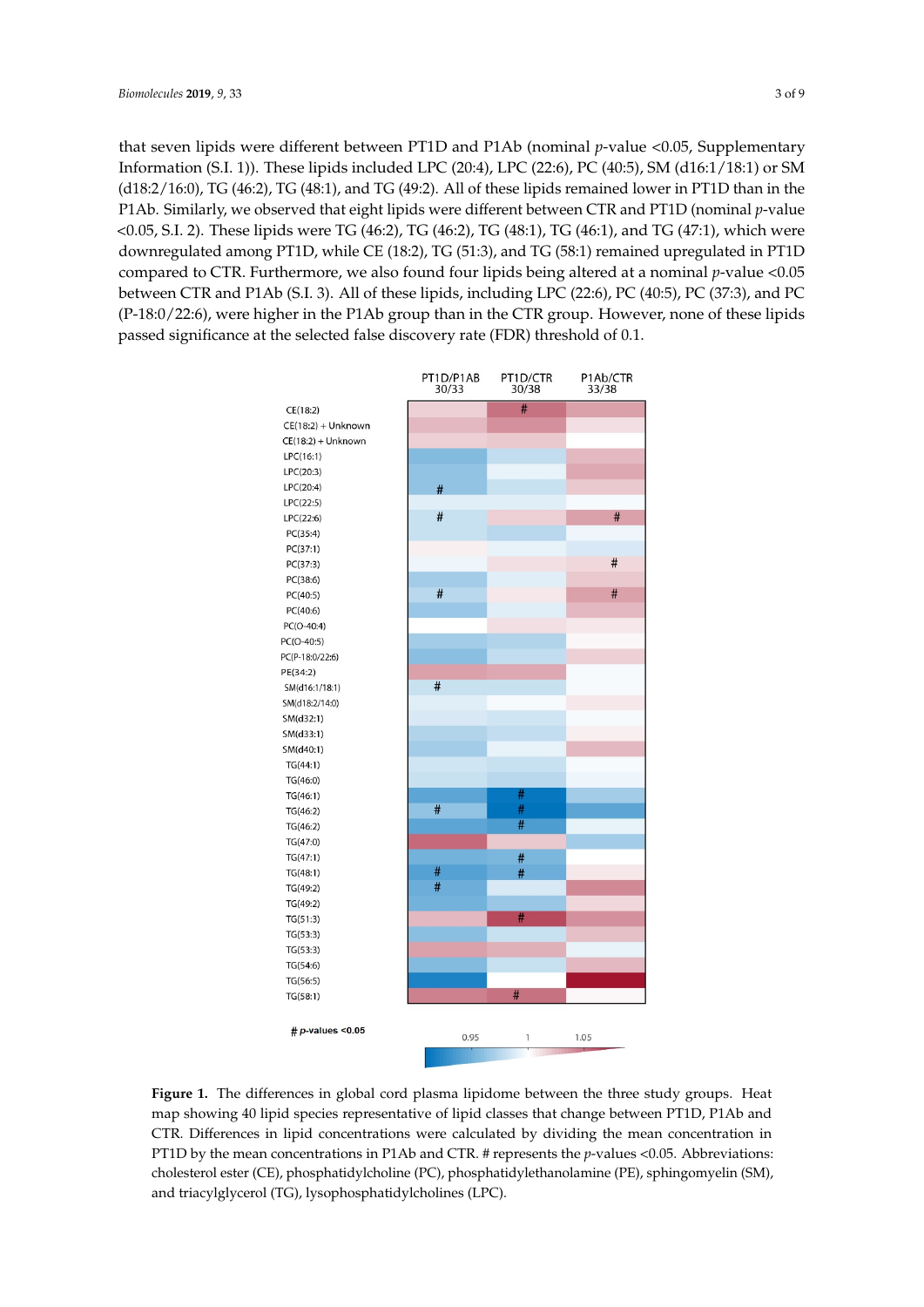that seven lipids were different between PT1D and P1Ab (nominal *p*-value <0.05, Supplementary<br>Information (S.I. 1)). The limit included LPC (20:4), LPC (20:6), PC (40.5), SM (146.4, (40.4), SM (146.4) Information (S.I. 1)). These lipids included LPC (20:4), LPC (22:6), PC (40:5), SM (d16:1/18:1) or SM (416:2), TG (46:2), TG (48:2),  $\frac{1}{100}$ (d18:2/16:0), TG (46:2), TG (48:1), and TG (49:2). All of these lipids remained lower in PT1D than in the  $\Gamma$ P1Ab. Similarly, we observed that eight lipids were different between CTR and PT1D (nominal *p*-value  $\sim 25, 5, 1$ ). The set of  $\sim 2$  $(1,005, S.I. 2)$ . These lipids were TG (46:2), TG (46:2), TG (48:1), TG (46:1), and TG (47:1), which were downregulated among PT1D, while CE (18:2), TG (51:3), and TG (58:1) remained upregulated in PT1D<br>compared to CTR. Furthermore, we also found found for linear linear linear measurements being a set compared to CTR. Furthermore, we also found four lipids being altered at a nominal *p*-value <0.05 between CTR and P1Ab (S.I. 3). All of the limit LPCCCR (S. 2006), PCCCR 3). PCCCR 3). All of the between CTR and P1Ab (S.I. 3). All of these lipids, including LPC (22:6), PC (40:5), PC (37:3), and PC<br>(P-18:0/22:6), PC (40:5), PC (40:5), and PC  $(P-18:0/22:6)$ , were higher in the P1Ab group than in the CTR group. However, none of these lipids  $(P-18:0/22:6)$ passed significance at the selected false discovery rate (FDR) threshold of 0.1. threshold of 0.1.

<span id="page-2-0"></span>

Figure 1. The differences in global cord plasma lipidome between the three study groups. Heat map showing 40 lipid species representative of lipid classes that change between PT1D, P1Ab and CTR. Differences in lipid concentrations were calculated by dividing the mean concentration in PT1D by the mean concentrations in P1Ab and CTR. # represents the *p*-values <0.05. Abbreviations: cholesterol ester (CE), phosphatidylcholine (PC), phosphatidylethanolamine (PE), sphingomyelin (SM), triacylglycerol (TG), lysophosphatidylcholines (LPC). and triacylglycerol (TG), lysophosphatidylcholines (LPC).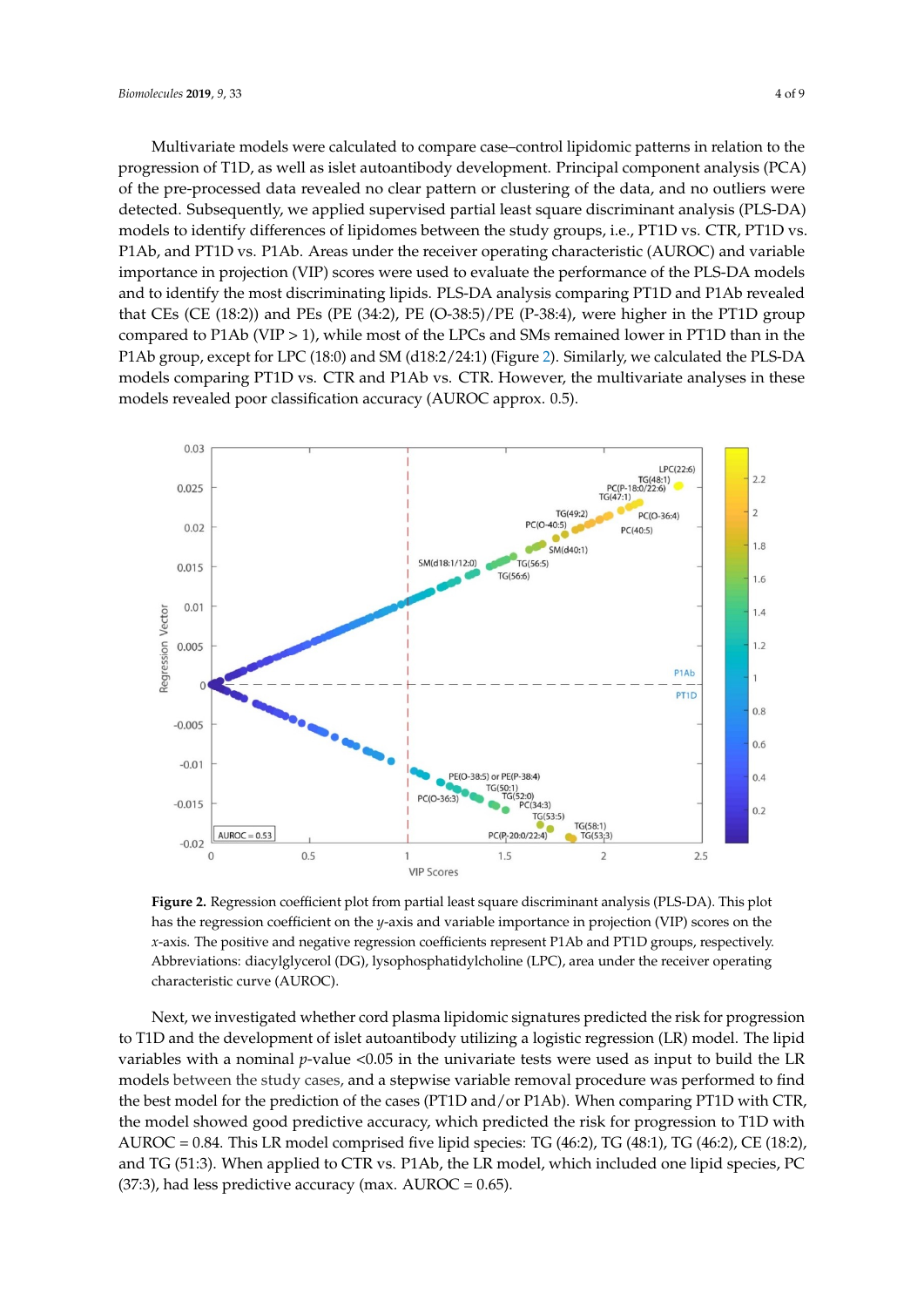Multivariate models were calculated to compare case–control lipidomic patterns in relation to the Multivariate models were calculated to compare case–control lipidomic patterns in relation to progression of T1D, as well as islet autoantibody development. Principal component analysis (PCA)<br>of the pre-processed data revealed no clear pattern or clustering of the data, and no outliers were of the pre-processed data revealed no clear pattern or clustering of the data, and no outliers were detected. Subsequently, we applied supervised partial least square discriminant analysis (PLS-DA) models to identify differences of lipidomes between the study groups, i.e., PT1D vs. CTR, PT1D vs. P1Ab, and PT1D vs. P1Ab. Areas under the receiver operating characteristic (AUROC) and variable importance in projection (VIP) scores were used to evaluate the performance of the PLS-DA models and to identify the most discriminating lipids. PLS-DA analysis comparing PT1D and P1Ab revealed that CEs (CE (18:2)) and PEs (PE (34:2), PE (O-38:5)/PE (P-38:4), were higher in the PT1D group compared to P1Ab (VIP  $> 1$ ), while most of the LPCs and SMs remained lower in PT1D than in the P1Ab group, except for LPC (18:0) and SM (d18:2/24:1) [\(F](#page-3-0)igure 2). Similarly, we calculated the PLS-DA models comparing PT1D vs. CTR and P1Ab vs. CTR. However, the multivariate analyses in these models revealed poor classification accuracy (AUROC approx. 0.5). these models revealed poor classification accuracy (AUROC approx. 0.5).

<span id="page-3-0"></span>

**Figure 2.** Regression coefficient plot from partial least square discriminant analysis (PLS-DA). This **Figure 2.** Regression coefficient plot from partial least square discriminant analysis (PLS-DA). This plot plot has the regression coefficient on the *y*-axis and variable importance in projection (VIP) scores on has the regression coefficient on the *y*-axis and variable importance in projection (VIP) scores on the the *x*-axis. The positive and negative regression coefficients represent P1Ab and PT1D groups, *x*-axis. The positive and negative regression coefficients represent P1Ab and PT1D groups, respectively. Abbreviations: diacylglycerol (DG), lysophosphatidylcholine (LPC), area under the receiver operating characteristic curve (AUROC).

Next, we investigated whether cord plasma lipidomic signatures predicted the risk for progression<br>  $\sum_{n=1}^{\infty}$ to T1D and the development of islet autoantibody utilizing a logistic regression (LR) model. The lipid to T<sub>1</sub> variables with a nominal *p*-value <0.05 in the univariate tests were used as input to build the LR models between the study cases, and a stepwise variable removal procedure was performed to find<br> $\frac{1}{2}$ the best model for the prediction of the cases (PT1D and/or P1Ab). When comparing PT1D with CTR, the cases of the cases (PT1D and/or P1Ab). When comparing PT1D with CTR, the model showed good predictive accuracy, which predicted the risk for progression to T1D with  $t$  the model showed good predictive accuracy, which predicted the risk for progression to T1D with AUROC = 0.84. This LR model comprised five lipid species: TG (46:2), TG (48:1), TG (46:2), CE (18:2),  $\overline{C}$  (18:2), and TG (51:3). When applied to CTR vs. P1Ab, the LR model, which included one lipid species, PC<br>
ALL COLORED TO A LITTING COLORED TO A LITTING COLORED TO A LITTING COLORED TO A LITTING COLORED TO A LITTING (37:3), had less predictive accuracy (max.  $\mathrm{AUROC} = 0.65$ ).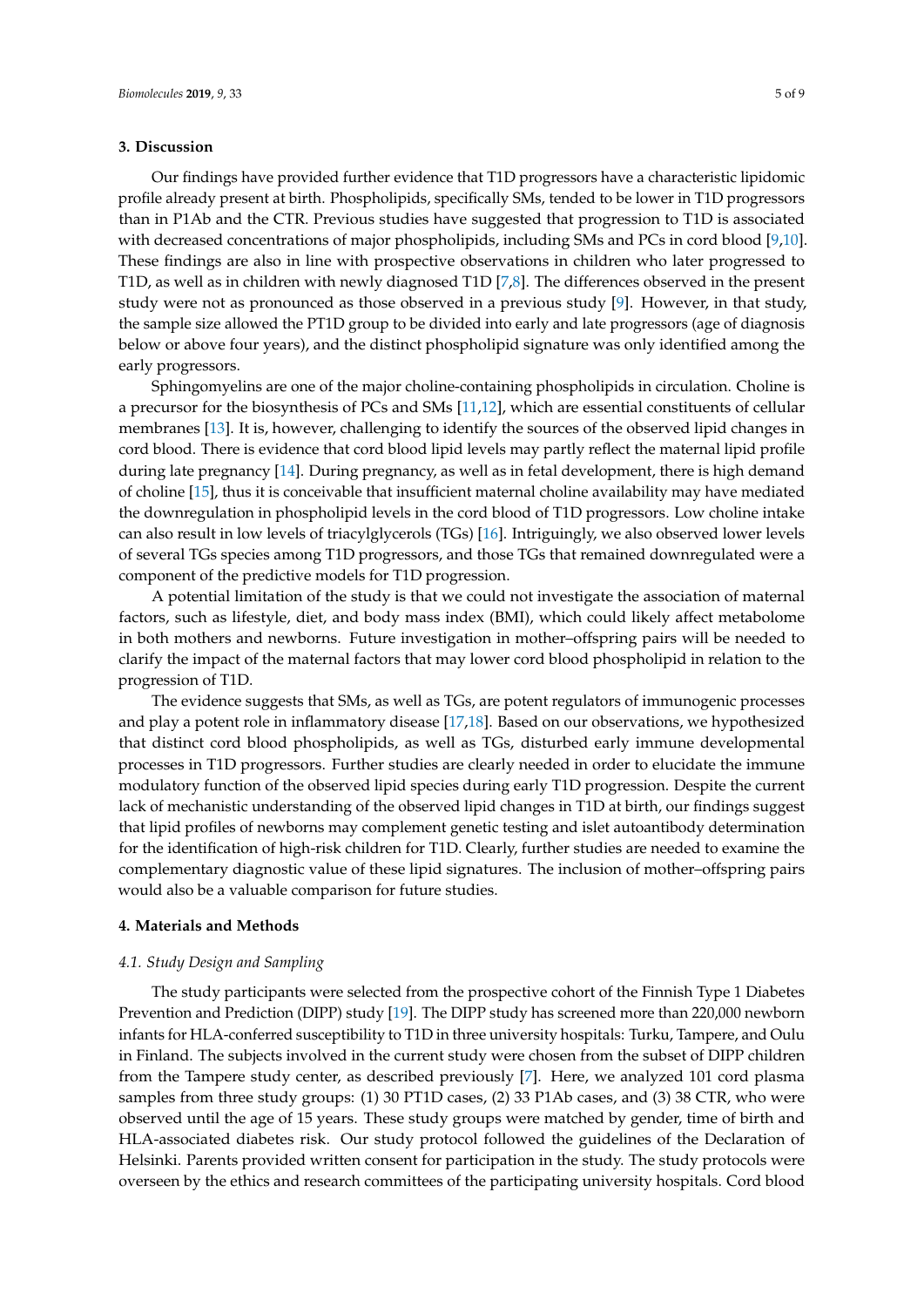# **3. Discussion**

Our findings have provided further evidence that T1D progressors have a characteristic lipidomic profile already present at birth. Phospholipids, specifically SMs, tended to be lower in T1D progressors than in P1Ab and the CTR. Previous studies have suggested that progression to T1D is associated with decreased concentrations of major phospholipids, including SMs and PCs in cord blood [\[9,](#page-7-8)[10\]](#page-7-9). These findings are also in line with prospective observations in children who later progressed to T1D, as well as in children with newly diagnosed T1D [\[7](#page-7-6)[,8\]](#page-7-7). The differences observed in the present study were not as pronounced as those observed in a previous study [\[9\]](#page-7-8). However, in that study, the sample size allowed the PT1D group to be divided into early and late progressors (age of diagnosis below or above four years), and the distinct phospholipid signature was only identified among the early progressors.

Sphingomyelins are one of the major choline-containing phospholipids in circulation. Choline is a precursor for the biosynthesis of PCs and SMs [\[11](#page-7-10)[,12\]](#page-7-11), which are essential constituents of cellular membranes [\[13\]](#page-7-12). It is, however, challenging to identify the sources of the observed lipid changes in cord blood. There is evidence that cord blood lipid levels may partly reflect the maternal lipid profile during late pregnancy [\[14\]](#page-7-13). During pregnancy, as well as in fetal development, there is high demand of choline [\[15\]](#page-7-14), thus it is conceivable that insufficient maternal choline availability may have mediated the downregulation in phospholipid levels in the cord blood of T1D progressors. Low choline intake can also result in low levels of triacylglycerols (TGs) [\[16\]](#page-7-15). Intriguingly, we also observed lower levels of several TGs species among T1D progressors, and those TGs that remained downregulated were a component of the predictive models for T1D progression.

A potential limitation of the study is that we could not investigate the association of maternal factors, such as lifestyle, diet, and body mass index (BMI), which could likely affect metabolome in both mothers and newborns. Future investigation in mother–offspring pairs will be needed to clarify the impact of the maternal factors that may lower cord blood phospholipid in relation to the progression of T1D.

The evidence suggests that SMs, as well as TGs, are potent regulators of immunogenic processes and play a potent role in inflammatory disease [\[17,](#page-8-0)[18\]](#page-8-1). Based on our observations, we hypothesized that distinct cord blood phospholipids, as well as TGs, disturbed early immune developmental processes in T1D progressors. Further studies are clearly needed in order to elucidate the immune modulatory function of the observed lipid species during early T1D progression. Despite the current lack of mechanistic understanding of the observed lipid changes in T1D at birth, our findings suggest that lipid profiles of newborns may complement genetic testing and islet autoantibody determination for the identification of high-risk children for T1D. Clearly, further studies are needed to examine the complementary diagnostic value of these lipid signatures. The inclusion of mother–offspring pairs would also be a valuable comparison for future studies.

# **4. Materials and Methods**

# *4.1. Study Design and Sampling*

The study participants were selected from the prospective cohort of the Finnish Type 1 Diabetes Prevention and Prediction (DIPP) study [\[19\]](#page-8-2). The DIPP study has screened more than 220,000 newborn infants for HLA-conferred susceptibility to T1D in three university hospitals: Turku, Tampere, and Oulu in Finland. The subjects involved in the current study were chosen from the subset of DIPP children from the Tampere study center, as described previously [\[7\]](#page-7-6). Here, we analyzed 101 cord plasma samples from three study groups: (1) 30 PT1D cases, (2) 33 P1Ab cases, and (3) 38 CTR, who were observed until the age of 15 years. These study groups were matched by gender, time of birth and HLA-associated diabetes risk. Our study protocol followed the guidelines of the Declaration of Helsinki. Parents provided written consent for participation in the study. The study protocols were overseen by the ethics and research committees of the participating university hospitals. Cord blood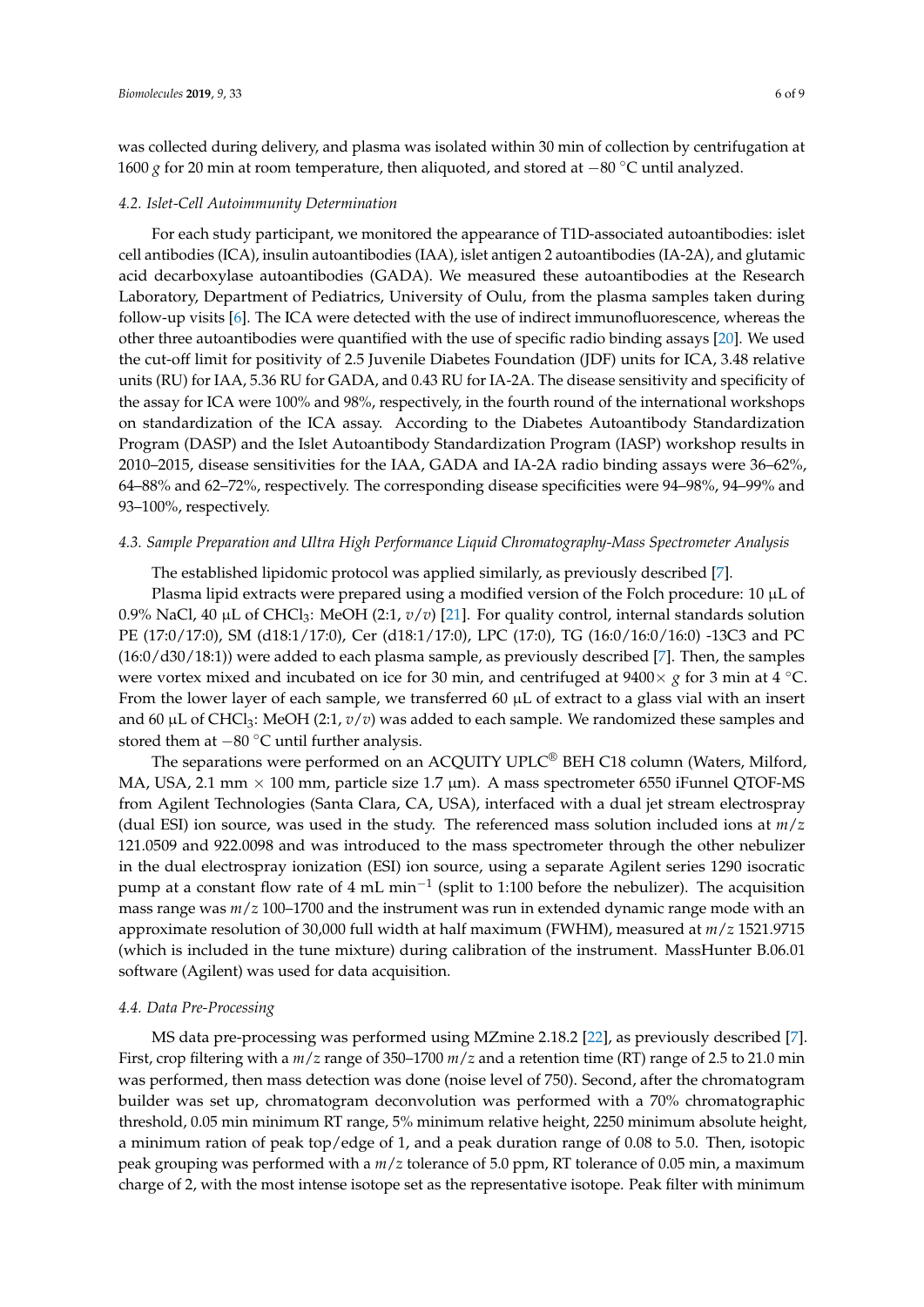was collected during delivery, and plasma was isolated within 30 min of collection by centrifugation at 1600 *g* for 20 min at room temperature, then aliquoted, and stored at −80 ◦C until analyzed.

#### *4.2. Islet-Cell Autoimmunity Determination*

For each study participant, we monitored the appearance of T1D-associated autoantibodies: islet cell antibodies (ICA), insulin autoantibodies (IAA), islet antigen 2 autoantibodies (IA-2A), and glutamic acid decarboxylase autoantibodies (GADA). We measured these autoantibodies at the Research Laboratory, Department of Pediatrics, University of Oulu, from the plasma samples taken during follow-up visits [\[6\]](#page-7-5). The ICA were detected with the use of indirect immunofluorescence, whereas the other three autoantibodies were quantified with the use of specific radio binding assays [\[20\]](#page-8-3). We used the cut-off limit for positivity of 2.5 Juvenile Diabetes Foundation (JDF) units for ICA, 3.48 relative units (RU) for IAA, 5.36 RU for GADA, and 0.43 RU for IA-2A. The disease sensitivity and specificity of the assay for ICA were 100% and 98%, respectively, in the fourth round of the international workshops on standardization of the ICA assay. According to the Diabetes Autoantibody Standardization Program (DASP) and the Islet Autoantibody Standardization Program (IASP) workshop results in 2010–2015, disease sensitivities for the IAA, GADA and IA-2A radio binding assays were 36–62%, 64–88% and 62–72%, respectively. The corresponding disease specificities were 94–98%, 94–99% and 93–100%, respectively.

## *4.3. Sample Preparation and Ultra High Performance Liquid Chromatography-Mass Spectrometer Analysis*

The established lipidomic protocol was applied similarly, as previously described [\[7\]](#page-7-6).

Plasma lipid extracts were prepared using a modified version of the Folch procedure:  $10 \mu L$  of 0.9% NaCl, 40 µL of CHCl3: MeOH (2:1, *v*/*v*) [\[21\]](#page-8-4). For quality control, internal standards solution PE (17:0/17:0), SM (d18:1/17:0), Cer (d18:1/17:0), LPC (17:0), TG (16:0/16:0/16:0) -13C3 and PC (16:0/d30/18:1)) were added to each plasma sample, as previously described [\[7\]](#page-7-6). Then, the samples were vortex mixed and incubated on ice for 30 min, and centrifuged at 9400× *g* for 3 min at 4 ◦C. From the lower layer of each sample, we transferred 60  $\mu$ L of extract to a glass vial with an insert and 60 μL of CHCl<sub>3</sub>: MeOH (2:1, *v*/*v*) was added to each sample. We randomized these samples and stored them at −80 ◦C until further analysis.

The separations were performed on an ACQUITY UPLC® BEH C18 column (Waters, Milford, MA, USA, 2.1 mm  $\times$  100 mm, particle size 1.7 µm). A mass spectrometer 6550 iFunnel QTOF-MS from Agilent Technologies (Santa Clara, CA, USA), interfaced with a dual jet stream electrospray (dual ESI) ion source, was used in the study. The referenced mass solution included ions at *m*/*z* 121.0509 and 922.0098 and was introduced to the mass spectrometer through the other nebulizer in the dual electrospray ionization (ESI) ion source, using a separate Agilent series 1290 isocratic pump at a constant flow rate of 4 mL min<sup>-1</sup> (split to 1:100 before the nebulizer). The acquisition mass range was *m*/*z* 100–1700 and the instrument was run in extended dynamic range mode with an approximate resolution of 30,000 full width at half maximum (FWHM), measured at *m*/*z* 1521.9715 (which is included in the tune mixture) during calibration of the instrument. MassHunter B.06.01 software (Agilent) was used for data acquisition.

## *4.4. Data Pre-Processing*

MS data pre-processing was performed using MZmine 2.18.2 [\[22\]](#page-8-5), as previously described [\[7\]](#page-7-6). First, crop filtering with a *m*/*z* range of 350–1700 *m*/*z* and a retention time (RT) range of 2.5 to 21.0 min was performed, then mass detection was done (noise level of 750). Second, after the chromatogram builder was set up, chromatogram deconvolution was performed with a 70% chromatographic threshold, 0.05 min minimum RT range, 5% minimum relative height, 2250 minimum absolute height, a minimum ration of peak top/edge of 1, and a peak duration range of 0.08 to 5.0. Then, isotopic peak grouping was performed with a *m*/*z* tolerance of 5.0 ppm, RT tolerance of 0.05 min, a maximum charge of 2, with the most intense isotope set as the representative isotope. Peak filter with minimum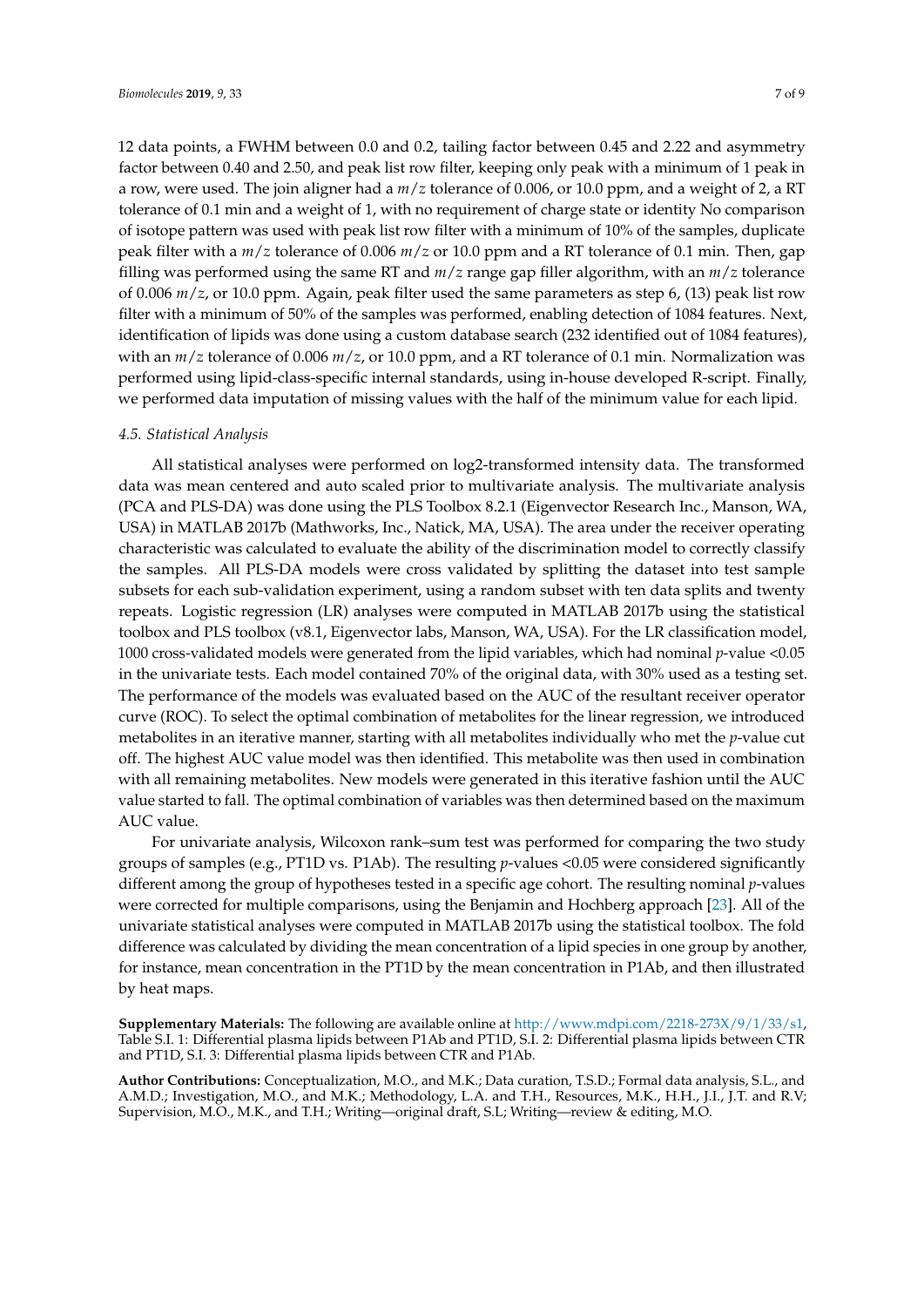12 data points, a FWHM between 0.0 and 0.2, tailing factor between 0.45 and 2.22 and asymmetry factor between 0.40 and 2.50, and peak list row filter, keeping only peak with a minimum of 1 peak in a row, were used. The join aligner had a *m*/*z* tolerance of 0.006, or 10.0 ppm, and a weight of 2, a RT tolerance of 0.1 min and a weight of 1, with no requirement of charge state or identity No comparison of isotope pattern was used with peak list row filter with a minimum of 10% of the samples, duplicate peak filter with a *m*/*z* tolerance of 0.006 *m*/*z* or 10.0 ppm and a RT tolerance of 0.1 min. Then, gap filling was performed using the same RT and *m*/*z* range gap filler algorithm, with an *m*/*z* tolerance of 0.006 *m*/*z*, or 10.0 ppm. Again, peak filter used the same parameters as step 6, (13) peak list row filter with a minimum of 50% of the samples was performed, enabling detection of 1084 features. Next, identification of lipids was done using a custom database search (232 identified out of 1084 features), with an *m*/*z* tolerance of 0.006 *m*/*z*, or 10.0 ppm, and a RT tolerance of 0.1 min. Normalization was performed using lipid-class-specific internal standards, using in-house developed R-script. Finally, we performed data imputation of missing values with the half of the minimum value for each lipid.

## *4.5. Statistical Analysis*

All statistical analyses were performed on log2-transformed intensity data. The transformed data was mean centered and auto scaled prior to multivariate analysis. The multivariate analysis (PCA and PLS-DA) was done using the PLS Toolbox 8.2.1 (Eigenvector Research Inc., Manson, WA, USA) in MATLAB 2017b (Mathworks, Inc., Natick, MA, USA). The area under the receiver operating characteristic was calculated to evaluate the ability of the discrimination model to correctly classify the samples. All PLS-DA models were cross validated by splitting the dataset into test sample subsets for each sub-validation experiment, using a random subset with ten data splits and twenty repeats. Logistic regression (LR) analyses were computed in MATLAB 2017b using the statistical toolbox and PLS toolbox (v8.1, Eigenvector labs, Manson, WA, USA). For the LR classification model, 1000 cross-validated models were generated from the lipid variables, which had nominal *p*-value <0.05 in the univariate tests. Each model contained 70% of the original data, with 30% used as a testing set. The performance of the models was evaluated based on the AUC of the resultant receiver operator curve (ROC). To select the optimal combination of metabolites for the linear regression, we introduced metabolites in an iterative manner, starting with all metabolites individually who met the *p*-value cut off. The highest AUC value model was then identified. This metabolite was then used in combination with all remaining metabolites. New models were generated in this iterative fashion until the AUC value started to fall. The optimal combination of variables was then determined based on the maximum AUC value.

For univariate analysis, Wilcoxon rank–sum test was performed for comparing the two study groups of samples (e.g., PT1D vs. P1Ab). The resulting *p*-values <0.05 were considered significantly different among the group of hypotheses tested in a specific age cohort. The resulting nominal *p*-values were corrected for multiple comparisons, using the Benjamin and Hochberg approach [\[23\]](#page-8-6). All of the univariate statistical analyses were computed in MATLAB 2017b using the statistical toolbox. The fold difference was calculated by dividing the mean concentration of a lipid species in one group by another, for instance, mean concentration in the PT1D by the mean concentration in P1Ab, and then illustrated by heat maps.

**Supplementary Materials:** The following are available online at [http://www.mdpi.com/2218-273X/9/1/33/s1,](http://www.mdpi.com/2218-273X/9/1/33/s1) Table S.I. 1: Differential plasma lipids between P1Ab and PT1D, S.I. 2: Differential plasma lipids between CTR and PT1D, S.I. 3: Differential plasma lipids between CTR and P1Ab.

**Author Contributions:** Conceptualization, M.O., and M.K.; Data curation, T.S.D.; Formal data analysis, S.L., and A.M.D.; Investigation, M.O., and M.K.; Methodology, L.A. and T.H., Resources, M.K., H.H., J.I., J.T. and R.V; Supervision, M.O., M.K., and T.H.; Writing—original draft, S.L; Writing—review & editing, M.O.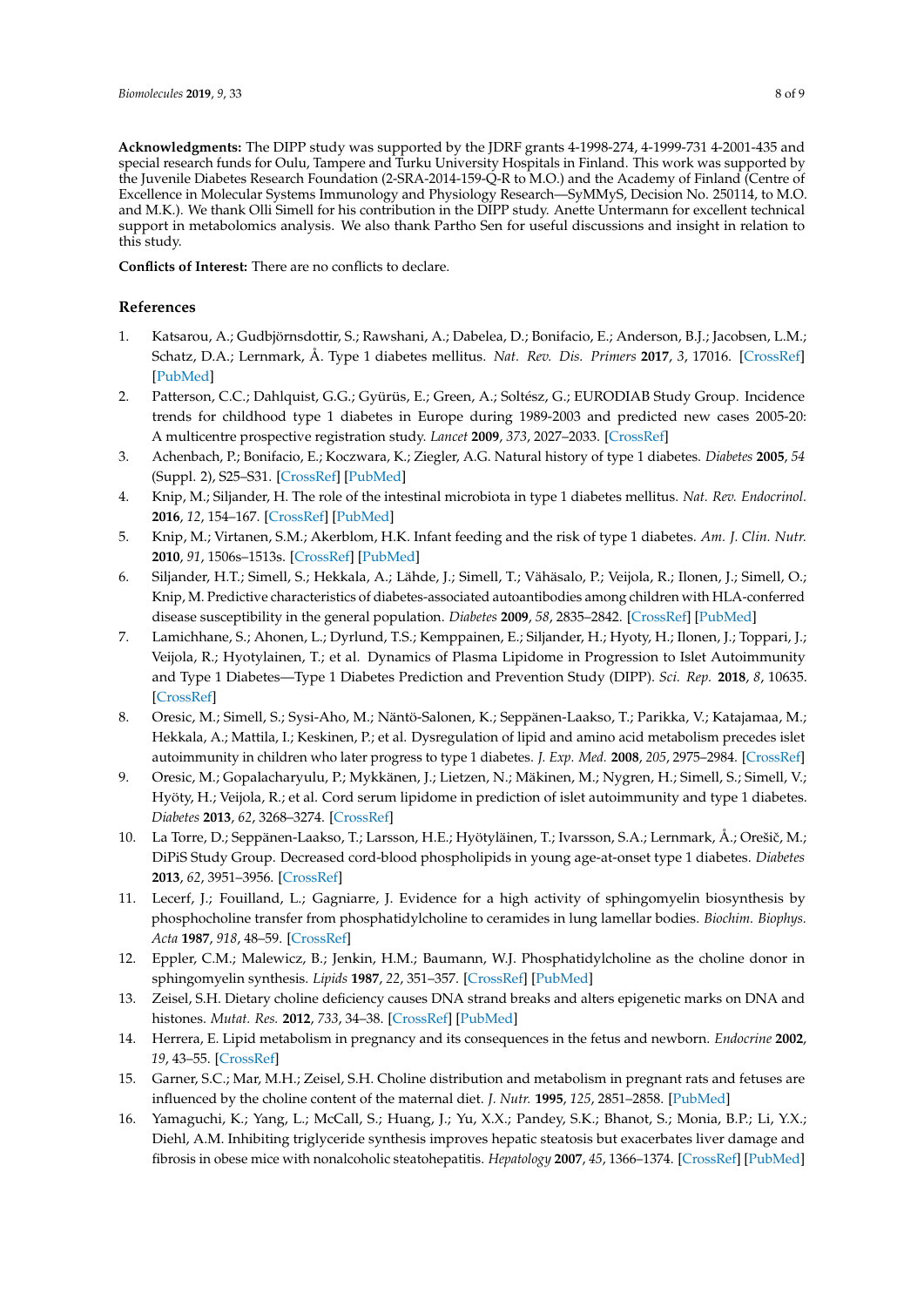**Acknowledgments:** The DIPP study was supported by the JDRF grants 4-1998-274, 4-1999-731 4-2001-435 and special research funds for Oulu, Tampere and Turku University Hospitals in Finland. This work was supported by the Juvenile Diabetes Research Foundation (2-SRA-2014-159-Q-R to M.O.) and the Academy of Finland (Centre of Excellence in Molecular Systems Immunology and Physiology Research—SyMMyS, Decision No. 250114, to M.O. and M.K.). We thank Olli Simell for his contribution in the DIPP study. Anette Untermann for excellent technical support in metabolomics analysis. We also thank Partho Sen for useful discussions and insight in relation to this study.

**Conflicts of Interest:** There are no conflicts to declare.

# **References**

- <span id="page-7-0"></span>1. Katsarou, A.; Gudbjörnsdottir, S.; Rawshani, A.; Dabelea, D.; Bonifacio, E.; Anderson, B.J.; Jacobsen, L.M.; Schatz, D.A.; Lernmark, Å. Type 1 diabetes mellitus. *Nat. Rev. Dis. Primers* **2017**, *3*, 17016. [\[CrossRef\]](http://dx.doi.org/10.1038/nrdp.2017.16) [\[PubMed\]](http://www.ncbi.nlm.nih.gov/pubmed/28358037)
- <span id="page-7-1"></span>2. Patterson, C.C.; Dahlquist, G.G.; Gyürüs, E.; Green, A.; Soltész, G.; EURODIAB Study Group. Incidence trends for childhood type 1 diabetes in Europe during 1989-2003 and predicted new cases 2005-20: A multicentre prospective registration study. *Lancet* **2009**, *373*, 2027–2033. [\[CrossRef\]](http://dx.doi.org/10.1016/S0140-6736(09)60568-7)
- <span id="page-7-2"></span>3. Achenbach, P.; Bonifacio, E.; Koczwara, K.; Ziegler, A.G. Natural history of type 1 diabetes. *Diabetes* **2005**, *54* (Suppl. 2), S25–S31. [\[CrossRef\]](http://dx.doi.org/10.2337/diabetes.54.suppl_2.S25) [\[PubMed\]](http://www.ncbi.nlm.nih.gov/pubmed/16306336)
- <span id="page-7-3"></span>4. Knip, M.; Siljander, H. The role of the intestinal microbiota in type 1 diabetes mellitus. *Nat. Rev. Endocrinol.* **2016**, *12*, 154–167. [\[CrossRef\]](http://dx.doi.org/10.1038/nrendo.2015.218) [\[PubMed\]](http://www.ncbi.nlm.nih.gov/pubmed/26729037)
- <span id="page-7-4"></span>5. Knip, M.; Virtanen, S.M.; Akerblom, H.K. Infant feeding and the risk of type 1 diabetes. *Am. J. Clin. Nutr.* **2010**, *91*, 1506s–1513s. [\[CrossRef\]](http://dx.doi.org/10.3945/ajcn.2010.28701C) [\[PubMed\]](http://www.ncbi.nlm.nih.gov/pubmed/20335552)
- <span id="page-7-5"></span>6. Siljander, H.T.; Simell, S.; Hekkala, A.; Lähde, J.; Simell, T.; Vähäsalo, P.; Veijola, R.; Ilonen, J.; Simell, O.; Knip, M. Predictive characteristics of diabetes-associated autoantibodies among children with HLA-conferred disease susceptibility in the general population. *Diabetes* **2009**, *58*, 2835–2842. [\[CrossRef\]](http://dx.doi.org/10.2337/db08-1305) [\[PubMed\]](http://www.ncbi.nlm.nih.gov/pubmed/19755526)
- <span id="page-7-6"></span>7. Lamichhane, S.; Ahonen, L.; Dyrlund, T.S.; Kemppainen, E.; Siljander, H.; Hyoty, H.; Ilonen, J.; Toppari, J.; Veijola, R.; Hyotylainen, T.; et al. Dynamics of Plasma Lipidome in Progression to Islet Autoimmunity and Type 1 Diabetes—Type 1 Diabetes Prediction and Prevention Study (DIPP). *Sci. Rep.* **2018**, *8*, 10635. [\[CrossRef\]](http://dx.doi.org/10.1038/s41598-018-28907-8)
- <span id="page-7-7"></span>8. Oresic, M.; Simell, S.; Sysi-Aho, M.; Näntö-Salonen, K.; Seppänen-Laakso, T.; Parikka, V.; Katajamaa, M.; Hekkala, A.; Mattila, I.; Keskinen, P.; et al. Dysregulation of lipid and amino acid metabolism precedes islet autoimmunity in children who later progress to type 1 diabetes. *J. Exp. Med.* **2008**, *205*, 2975–2984. [\[CrossRef\]](http://dx.doi.org/10.1084/jem.20081800)
- <span id="page-7-8"></span>9. Oresic, M.; Gopalacharyulu, P.; Mykkänen, J.; Lietzen, N.; Mäkinen, M.; Nygren, H.; Simell, S.; Simell, V.; Hyöty, H.; Veijola, R.; et al. Cord serum lipidome in prediction of islet autoimmunity and type 1 diabetes. *Diabetes* **2013**, *62*, 3268–3274. [\[CrossRef\]](http://dx.doi.org/10.2337/db13-0159)
- <span id="page-7-9"></span>10. La Torre, D.; Seppänen-Laakso, T.; Larsson, H.E.; Hyötyläinen, T.; Ivarsson, S.A.; Lernmark, Å.; Orešič, M.; DiPiS Study Group. Decreased cord-blood phospholipids in young age-at-onset type 1 diabetes. *Diabetes* **2013**, *62*, 3951–3956. [\[CrossRef\]](http://dx.doi.org/10.2337/db13-0215)
- <span id="page-7-10"></span>11. Lecerf, J.; Fouilland, L.; Gagniarre, J. Evidence for a high activity of sphingomyelin biosynthesis by phosphocholine transfer from phosphatidylcholine to ceramides in lung lamellar bodies. *Biochim. Biophys. Acta* **1987**, *918*, 48–59. [\[CrossRef\]](http://dx.doi.org/10.1016/0005-2760(87)90008-7)
- <span id="page-7-11"></span>12. Eppler, C.M.; Malewicz, B.; Jenkin, H.M.; Baumann, W.J. Phosphatidylcholine as the choline donor in sphingomyelin synthesis. *Lipids* **1987**, *22*, 351–357. [\[CrossRef\]](http://dx.doi.org/10.1007/BF02534005) [\[PubMed\]](http://www.ncbi.nlm.nih.gov/pubmed/3600211)
- <span id="page-7-12"></span>13. Zeisel, S.H. Dietary choline deficiency causes DNA strand breaks and alters epigenetic marks on DNA and histones. *Mutat. Res.* **2012**, *733*, 34–38. [\[CrossRef\]](http://dx.doi.org/10.1016/j.mrfmmm.2011.10.008) [\[PubMed\]](http://www.ncbi.nlm.nih.gov/pubmed/22041500)
- <span id="page-7-13"></span>14. Herrera, E. Lipid metabolism in pregnancy and its consequences in the fetus and newborn. *Endocrine* **2002**, *19*, 43–55. [\[CrossRef\]](http://dx.doi.org/10.1385/ENDO:19:1:43)
- <span id="page-7-14"></span>15. Garner, S.C.; Mar, M.H.; Zeisel, S.H. Choline distribution and metabolism in pregnant rats and fetuses are influenced by the choline content of the maternal diet. *J. Nutr.* **1995**, *125*, 2851–2858. [\[PubMed\]](http://www.ncbi.nlm.nih.gov/pubmed/7472666)
- <span id="page-7-15"></span>16. Yamaguchi, K.; Yang, L.; McCall, S.; Huang, J.; Yu, X.X.; Pandey, S.K.; Bhanot, S.; Monia, B.P.; Li, Y.X.; Diehl, A.M. Inhibiting triglyceride synthesis improves hepatic steatosis but exacerbates liver damage and fibrosis in obese mice with nonalcoholic steatohepatitis. *Hepatology* **2007**, *45*, 1366–1374. [\[CrossRef\]](http://dx.doi.org/10.1002/hep.21655) [\[PubMed\]](http://www.ncbi.nlm.nih.gov/pubmed/17476695)